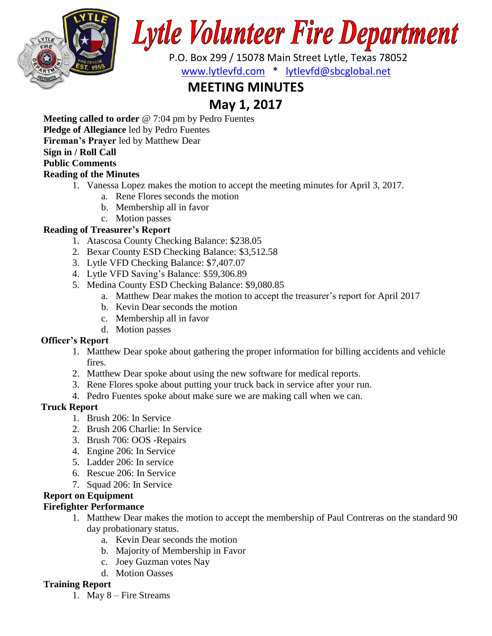

# **Lytle Volunteer Fire Department**

 P.O. Box 299 / 15078 Main Street Lytle, Texas 78052 [www.lytlevfd.com](http://www.lytlevfd.com/) \* [lytlevfd@sbcglobal.net](mailto:lytlevfd@sbcglobal.net)

# **MEETING MINUTES**

## **May 1, 2017**

**Meeting called to order** @ 7:04 pm by Pedro Fuentes

**Pledge of Allegiance** led by Pedro Fuentes

**Fireman's Prayer** led by Matthew Dear

#### **Sign in / Roll Call**

#### **Public Comments**

#### **Reading of the Minutes**

- 1. Vanessa Lopez makes the motion to accept the meeting minutes for April 3, 2017.
	- a. Rene Flores seconds the motion
	- b. Membership all in favor
	- c. Motion passes

#### **Reading of Treasurer's Report**

- 1. Atascosa County Checking Balance: \$238.05
- 2. Bexar County ESD Checking Balance: \$3,512.58
- 3. Lytle VFD Checking Balance: \$7,407.07
- 4. Lytle VFD Saving's Balance: \$59,306.89
- 5. Medina County ESD Checking Balance: \$9,080.85
	- a. Matthew Dear makes the motion to accept the treasurer's report for April 2017
	- b. Kevin Dear seconds the motion
	- c. Membership all in favor
	- d. Motion passes

#### **Officer's Report**

- 1. Matthew Dear spoke about gathering the proper information for billing accidents and vehicle fires.
- 2. Matthew Dear spoke about using the new software for medical reports.
- 3. Rene Flores spoke about putting your truck back in service after your run.
- 4. Pedro Fuentes spoke about make sure we are making call when we can.

#### **Truck Report**

- 1. Brush 206: In Service
- 2. Brush 206 Charlie: In Service
- 3. Brush 706: OOS -Repairs
- 4. Engine 206: In Service
- 5. Ladder 206: In service
- 6. Rescue 206: In Service
- 7. Squad 206: In Service

### **Report on Equipment**

#### **Firefighter Performance**

- 1. Matthew Dear makes the motion to accept the membership of Paul Contreras on the standard 90 day probationary status.
	- a. Kevin Dear seconds the motion
	- b. Majority of Membership in Favor
	- c. Joey Guzman votes Nay
	- d. Motion Oasses

#### **Training Report**

1. May 8 – Fire Streams